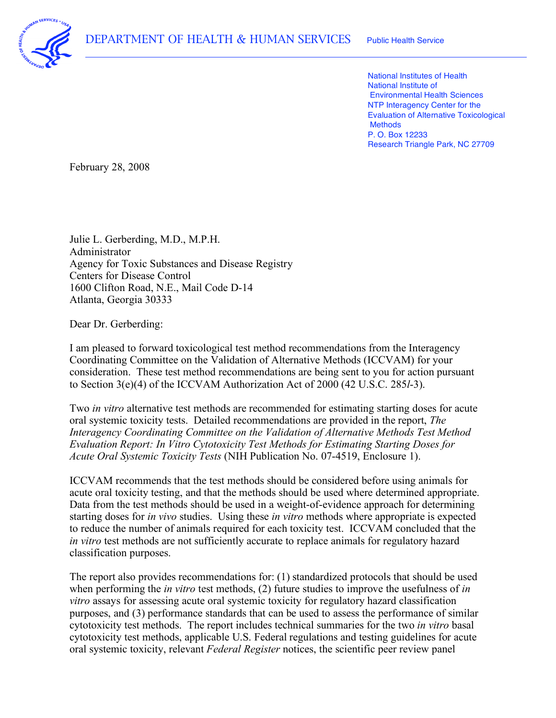

 National Institutes of Health National Institute of Environmental Health Sciences NTP Interagency Center for the Evaluation of Alternative Toxicological P. O. Box 12233 Research Triangle Park, NC 27709 **Methods** 

February 28, 2008

 Julie L. Gerberding, M.D., M.P.H. Agency for Toxic Substances and Disease Registry Centers for Disease Control 1600 Clifton Road, N.E., Mail Code D-14 Atlanta, Georgia 30333 Administrator

Dear Dr. Gerberding:

 I am pleased to forward toxicological test method recommendations from the Interagency Coordinating Committee on the Validation of Alternative Methods (ICCVAM) for your consideration. These test method recommendations are being sent to you for action pursuant to Section 3(e)(4) of the ICCVAM Authorization Act of 2000 (42 U.S.C. 285*l*-3).

 Two *in vitro* alternative test methods are recommended for estimating starting doses for acute oral systemic toxicity tests. Detailed recommendations are provided in the report, *The Interagency Coordinating Committee on the Validation of Alternative Methods Test Method Evaluation Report: In Vitro Cytotoxicity Test Methods for Estimating Starting Doses for Acute Oral Systemic Toxicity Tests* (NIH Publication No. 07-4519, Enclosure 1).

 ICCVAM recommends that the test methods should be considered before using animals for acute oral toxicity testing, and that the methods should be used where determined appropriate. Data from the test methods should be used in a weight-of-evidence approach for determining starting doses for *in vivo* studies. Using these *in vitro* methods where appropriate is expected to reduce the number of animals required for each toxicity test. ICCVAM concluded that the *in vitro* test methods are not sufficiently accurate to replace animals for regulatory hazard classification purposes.

 The report also provides recommendations for: (1) standardized protocols that should be used when performing the *in vitro* test methods, (2) future studies to improve the usefulness of *in vitro* assays for assessing acute oral systemic toxicity for regulatory hazard classification purposes, and (3) performance standards that can be used to assess the performance of similar cytotoxicity test methods. The report includes technical summaries for the two *in vitro* basal cytotoxicity test methods, applicable U.S. Federal regulations and testing guidelines for acute oral systemic toxicity, relevant *Federal Register* notices, the scientific peer review panel